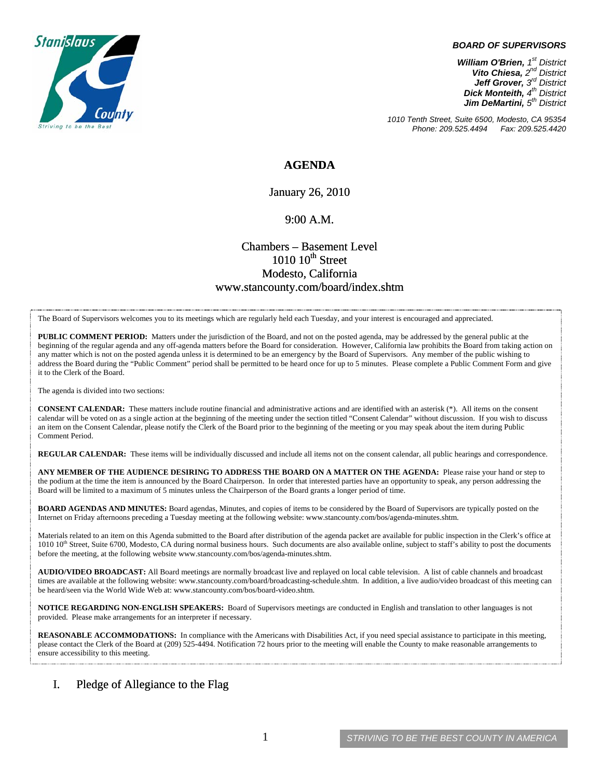

#### *BOARD OF SUPERVISORS*

*William O'Brien, 1st District Vito Chiesa, 2nd District Jeff Grover, 3rd District Dick Monteith, 4th District Jim DeMartini, 5th District*

*1010 Tenth Street, Suite 6500, Modesto, CA 95354 Phone: 209.525.4494* 

### **AGENDA**

January 26, 2010

#### 9:00 A.M.

## Chambers – Basement Level  $1010~10$ <sup>th</sup> Street Modesto, California www.stancounty.com/board/index.shtm

The Board of Supervisors welcomes you to its meetings which are regularly held each Tuesday, and your interest is encouraged and appreciated.

**PUBLIC COMMENT PERIOD:** Matters under the jurisdiction of the Board, and not on the posted agenda, may be addressed by the general public at the beginning of the regular agenda and any off-agenda matters before the Board for consideration. However, California law prohibits the Board from taking action on any matter which is not on the posted agenda unless it is determined to be an emergency by the Board of Supervisors. Any member of the public wishing to address the Board during the "Public Comment" period shall be permitted to be heard once for up to 5 minutes. Please complete a Public Comment Form and give it to the Clerk of the Board.

The agenda is divided into two sections:

**CONSENT CALENDAR:** These matters include routine financial and administrative actions and are identified with an asterisk (\*). All items on the consent calendar will be voted on as a single action at the beginning of the meeting under the section titled "Consent Calendar" without discussion. If you wish to discuss an item on the Consent Calendar, please notify the Clerk of the Board prior to the beginning of the meeting or you may speak about the item during Public Comment Period.

**REGULAR CALENDAR:** These items will be individually discussed and include all items not on the consent calendar, all public hearings and correspondence.

**ANY MEMBER OF THE AUDIENCE DESIRING TO ADDRESS THE BOARD ON A MATTER ON THE AGENDA:** Please raise your hand or step to the podium at the time the item is announced by the Board Chairperson. In order that interested parties have an opportunity to speak, any person addressing the Board will be limited to a maximum of 5 minutes unless the Chairperson of the Board grants a longer period of time.

**BOARD AGENDAS AND MINUTES:** Board agendas, Minutes, and copies of items to be considered by the Board of Supervisors are typically posted on the Internet on Friday afternoons preceding a Tuesday meeting at the following website: www.stancounty.com/bos/agenda-minutes.shtm.

Materials related to an item on this Agenda submitted to the Board after distribution of the agenda packet are available for public inspection in the Clerk's office at 1010 10<sup>th</sup> Street, Suite 6700, Modesto, CA during normal business hours. Such documents are also available online, subject to staff's ability to post the documents before the meeting, at the following website www.stancounty.com/bos/agenda-minutes.shtm.

**AUDIO/VIDEO BROADCAST:** All Board meetings are normally broadcast live and replayed on local cable television. A list of cable channels and broadcast times are available at the following website: www.stancounty.com/board/broadcasting-schedule.shtm. In addition, a live audio/video broadcast of this meeting can be heard/seen via the World Wide Web at: www.stancounty.com/bos/board-video.shtm.

**NOTICE REGARDING NON-ENGLISH SPEAKERS:** Board of Supervisors meetings are conducted in English and translation to other languages is not provided. Please make arrangements for an interpreter if necessary.

**REASONABLE ACCOMMODATIONS:** In compliance with the Americans with Disabilities Act, if you need special assistance to participate in this meeting, please contact the Clerk of the Board at (209) 525-4494. Notification 72 hours prior to the meeting will enable the County to make reasonable arrangements to ensure accessibility to this meeting.

### I. Pledge of Allegiance to the Flag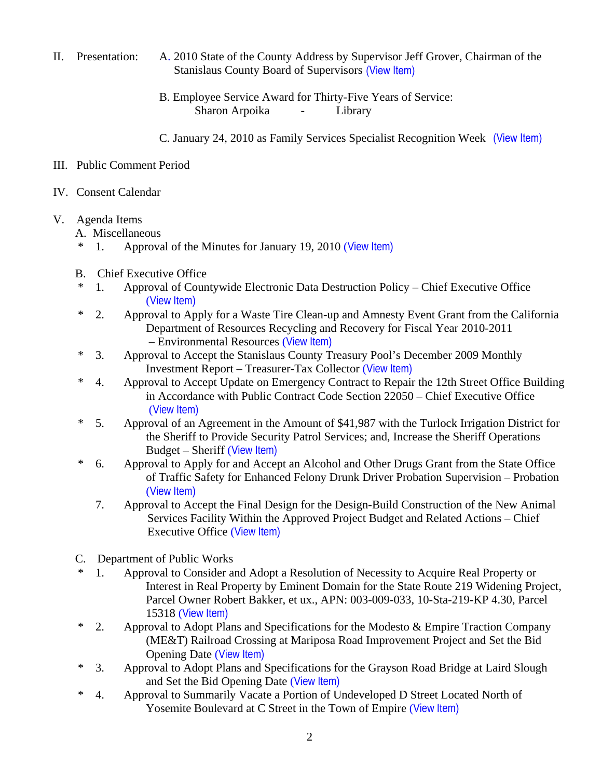- II. Presentation: A. 2010 State of the County Address by Supervisor Jeff Grover, Chairman of the Stanislaus County Board of Supervisors (View Item)
	- B. Employee Service Award for Thirty-Five Years of Service: Sharon Arpoika - Library

C. January 24, 2010 as Family Services Specialist Recognition Week (View Item)

- III. Public Comment Period
- IV. Consent Calendar
- V. Agenda Items
	- A. Miscellaneous
	- \* 1. Approval of the Minutes for January 19, 2010 ([View Item\)](http://www.stancounty.com/bos/minutes/2010/min01-19-10.pdf)
	- B. Chief Executive Office
	- \* 1. Approval of Countywide Electronic Data Destruction Policy Chief Executive Office ([View Item\)](http://www.stancounty.com/bos/agenda/2010/20100126/B01.pdf)
	- \* 2. Approval to Apply for a Waste Tire Clean-up and Amnesty Event Grant from the California Department of Resources Recycling and Recovery for Fiscal Year 2010-2011 – Environmental Resources ([View Item\)](http://www.stancounty.com/bos/agenda/2010/20100126/B02.pdf)
	- \* 3. Approval to Accept the Stanislaus County Treasury Pool's December 2009 Monthly Investment Report – Treasurer-Tax Collector ([View Item\)](http://www.stancounty.com/bos/agenda/2010/20100126/B03.pdf)
	- \* 4. Approval to Accept Update on Emergency Contract to Repair the 12th Street Office Building in Accordance with Public Contract Code Section 22050 – Chief Executive Office ([View Item\)](http://www.stancounty.com/bos/agenda/2010/20100126/B04.pdf)
	- \* 5. Approval of an Agreement in the Amount of \$41,987 with the Turlock Irrigation District for the Sheriff to Provide Security Patrol Services; and, Increase the Sheriff Operations Budget – Sheriff ([View Item\)](http://www.stancounty.com/bos/agenda/2010/20100126/B05.pdf)
	- \* 6. Approval to Apply for and Accept an Alcohol and Other Drugs Grant from the State Office of Traffic Safety for Enhanced Felony Drunk Driver Probation Supervision – Probation ([View Item\)](http://www.stancounty.com/bos/agenda/2010/20100126/B06.pdf)
		- 7. Approval to Accept the Final Design for the Design-Build Construction of the New Animal Services Facility Within the Approved Project Budget and Related Actions – Chief Executive Office ([View Item\)](http://www.stancounty.com/bos/agenda/2010/20100126/B07.pdf)
	- C. Department of Public Works
	- \* 1. Approval to Consider and Adopt a Resolution of Necessity to Acquire Real Property or Interest in Real Property by Eminent Domain for the State Route 219 Widening Project, Parcel Owner Robert Bakker, et ux., APN: 003-009-033, 10-Sta-219-KP 4.30, Parcel 15318 ([View Item\)](http://www.stancounty.com/bos/agenda/2010/20100126/C01.pdf)
	- \* 2. Approval to Adopt Plans and Specifications for the Modesto & Empire Traction Company (ME&T) Railroad Crossing at Mariposa Road Improvement Project and Set the Bid Opening Date ([View Item\)](http://www.stancounty.com/bos/agenda/2010/20100126/C02.pdf)
	- \* 3. Approval to Adopt Plans and Specifications for the Grayson Road Bridge at Laird Slough and Set the Bid Opening Date ([View Item\)](http://www.stancounty.com/bos/agenda/2010/20100126/C03.pdf)
	- \* 4. Approval to Summarily Vacate a Portion of Undeveloped D Street Located North of Yosemite Boulevard at C Street in the Town of Empire ([View Item\)](http://www.stancounty.com/bos/agenda/2010/20100126/C04.pdf)